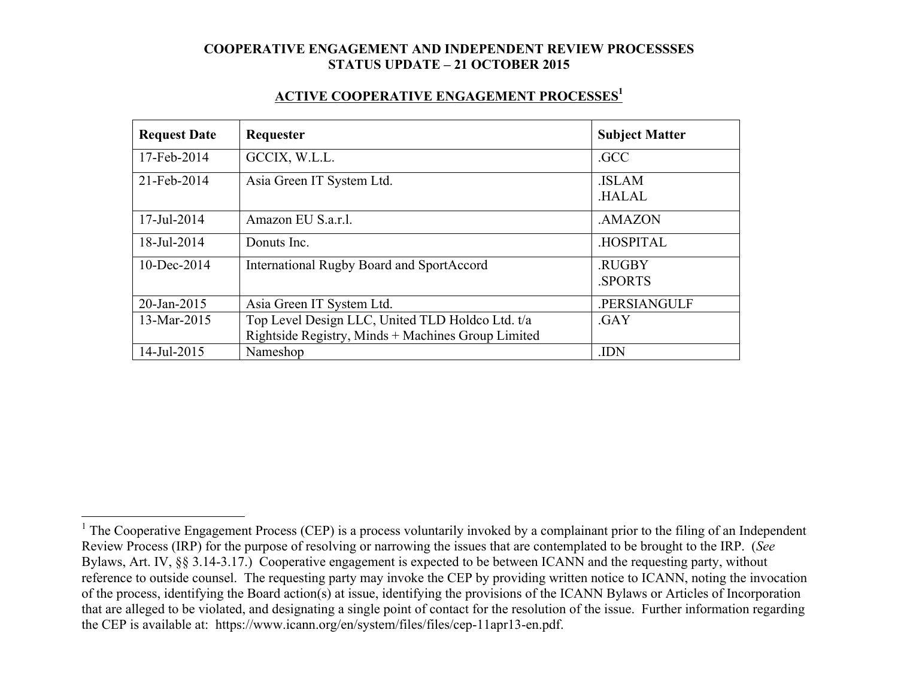#### **ACTIVE COOPERATIVE ENGAGEMENT PROCESSES1**

| <b>Request Date</b> | Requester                                                                                              | <b>Subject Matter</b>        |
|---------------------|--------------------------------------------------------------------------------------------------------|------------------------------|
| 17-Feb-2014         | GCCIX, W.L.L.                                                                                          | .GCC                         |
| 21-Feb-2014         | Asia Green IT System Ltd.                                                                              | <b>ISLAM</b><br><b>HALAL</b> |
| 17-Jul-2014         | Amazon EU S.a.r.l.                                                                                     | .AMAZON                      |
| 18-Jul-2014         | Donuts Inc.                                                                                            | .HOSPITAL                    |
| $10$ -Dec-2014      | <b>International Rugby Board and SportAccord</b>                                                       | .RUGBY<br><b>SPORTS</b>      |
| 20-Jan-2015         | Asia Green IT System Ltd.                                                                              | .PERSIANGULF                 |
| 13-Mar-2015         | Top Level Design LLC, United TLD Holdco Ltd. t/a<br>Rightside Registry, Minds + Machines Group Limited | .GAY                         |
| 14-Jul-2015         | Nameshop                                                                                               | .IDN                         |

<sup>&</sup>lt;sup>1</sup> The Cooperative Engagement Process (CEP) is a process voluntarily invoked by a complainant prior to the filing of an Independent Review Process (IRP) for the purpose of resolving or narrowing the issues that are contemplated to be brought to the IRP. (*See* Bylaws, Art. IV, §§ 3.14-3.17.) Cooperative engagement is expected to be between ICANN and the requesting party, without reference to outside counsel. The requesting party may invoke the CEP by providing written notice to ICANN, noting the invocation of the process, identifying the Board action(s) at issue, identifying the provisions of the ICANN Bylaws or Articles of Incorporation that are alleged to be violated, and designating a single point of contact for the resolution of the issue. Further information regarding the CEP is available at: https://www.icann.org/en/system/files/files/cep-11apr13-en.pdf.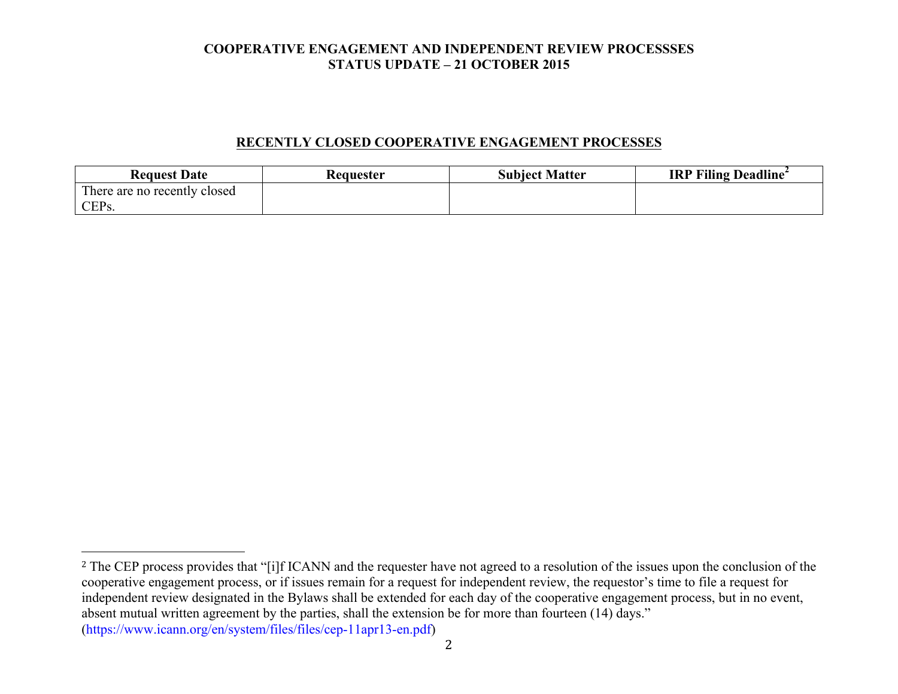## **RECENTLY CLOSED COOPERATIVE ENGAGEMENT PROCESSES**

| <b>Request Date</b>          | Requester | <b>Subject Matter</b> | <b>IRP Filing Deadline</b> |
|------------------------------|-----------|-----------------------|----------------------------|
| There are no recently closed |           |                       |                            |
| CEP <sub>s.</sub>            |           |                       |                            |

 

<sup>&</sup>lt;sup>2</sup> The CEP process provides that "[i]f ICANN and the requester have not agreed to a resolution of the issues upon the conclusion of the cooperative engagement process, or if issues remain for a request for independent review, the requestor's time to file a request for independent review designated in the Bylaws shall be extended for each day of the cooperative engagement process, but in no event, absent mutual written agreement by the parties, shall the extension be for more than fourteen (14) days." (https://www.icann.org/en/system/files/files/cep-11apr13-en.pdf)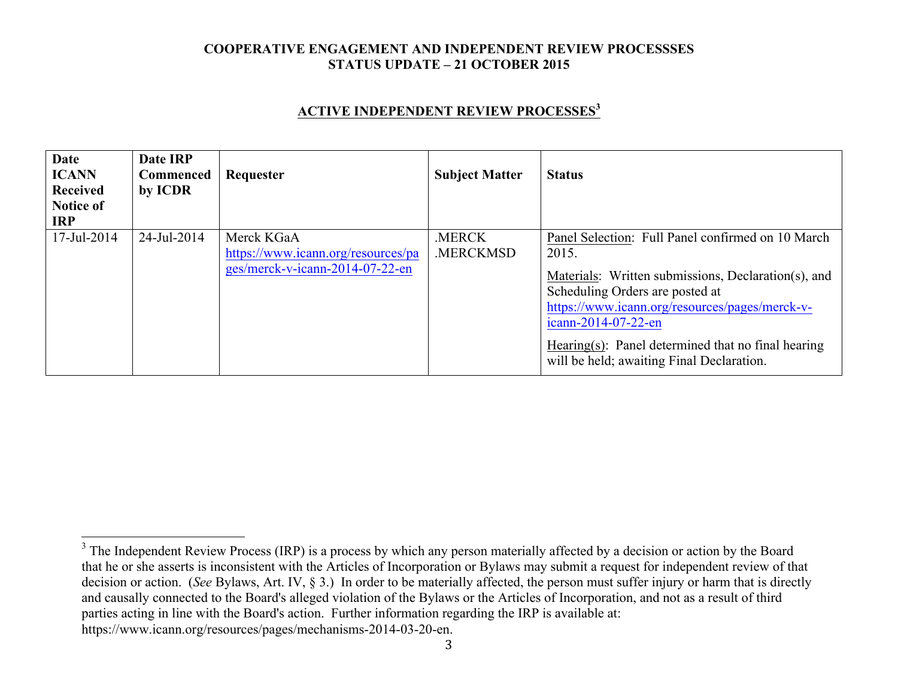### **ACTIVE INDEPENDENT REVIEW PROCESSES<sup>3</sup>**

| <b>Date</b><br><b>ICANN</b><br>Received<br>Notice of<br><b>IRP</b> | Date IRP<br><b>Commenced</b><br>by ICDR | Requester                                                                           | <b>Subject Matter</b>           | <b>Status</b>                                                                                                                                                                                                                                                                                                                    |
|--------------------------------------------------------------------|-----------------------------------------|-------------------------------------------------------------------------------------|---------------------------------|----------------------------------------------------------------------------------------------------------------------------------------------------------------------------------------------------------------------------------------------------------------------------------------------------------------------------------|
| 17-Jul-2014                                                        | 24-Jul-2014                             | Merck KGaA<br>https://www.icann.org/resources/pa<br>ges/merck-v-icann-2014-07-22-en | <b>MERCK</b><br><b>MERCKMSD</b> | Panel Selection: Full Panel confirmed on 10 March<br>2015.<br>Materials: Written submissions, Declaration(s), and<br>Scheduling Orders are posted at<br>https://www.icann.org/resources/pages/merck-v-<br>icann-2014-07-22-en<br>Hearing(s): Panel determined that no final hearing<br>will be held; awaiting Final Declaration. |

<sup>&</sup>lt;sup>3</sup> The Independent Review Process (IRP) is a process by which any person materially affected by a decision or action by the Board that he or she asserts is inconsistent with the Articles of Incorporation or Bylaws may submit a request for independent review of that decision or action. (*See* Bylaws, Art. IV, § 3.) In order to be materially affected, the person must suffer injury or harm that is directly and causally connected to the Board's alleged violation of the Bylaws or the Articles of Incorporation, and not as a result of third parties acting in line with the Board's action. Further information regarding the IRP is available at: https://www.icann.org/resources/pages/mechanisms-2014-03-20-en.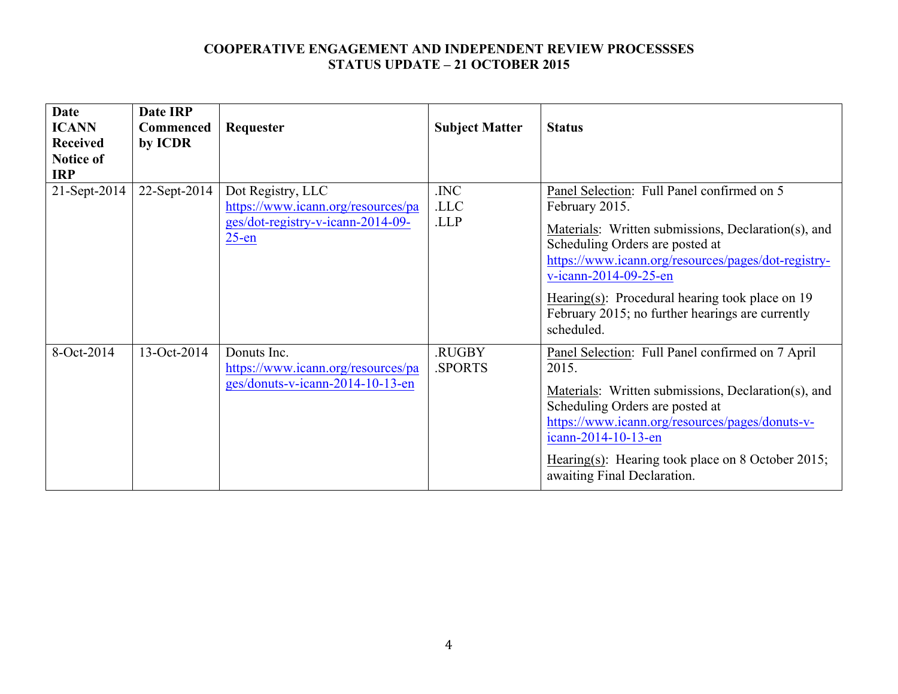| <b>Date</b><br><b>ICANN</b>                       | <b>Date IRP</b><br><b>Commenced</b> | Requester                                                                                                | <b>Subject Matter</b>   | <b>Status</b>                                                                                                                                                                                                                                                                                                                                                 |
|---------------------------------------------------|-------------------------------------|----------------------------------------------------------------------------------------------------------|-------------------------|---------------------------------------------------------------------------------------------------------------------------------------------------------------------------------------------------------------------------------------------------------------------------------------------------------------------------------------------------------------|
| <b>Received</b><br><b>Notice of</b><br><b>IRP</b> | by ICDR                             |                                                                                                          |                         |                                                                                                                                                                                                                                                                                                                                                               |
| 21-Sept-2014                                      | 22-Sept-2014                        | Dot Registry, LLC<br>https://www.icann.org/resources/pa<br>ges/dot-registry-v-icann-2014-09-<br>$25$ -en | .INC<br>.LLC<br>.LLP    | Panel Selection: Full Panel confirmed on 5<br>February 2015.<br>Materials: Written submissions, Declaration(s), and<br>Scheduling Orders are posted at<br>https://www.icann.org/resources/pages/dot-registry-<br>v-icann-2014-09-25-en<br>Hearing(s): Procedural hearing took place on $19$<br>February 2015; no further hearings are currently<br>scheduled. |
| 8-Oct-2014                                        | 13-Oct-2014                         | Donuts Inc.<br>https://www.icann.org/resources/pa<br>ges/donuts-v-icann-2014-10-13-en                    | <b>RUGBY</b><br>.SPORTS | Panel Selection: Full Panel confirmed on 7 April<br>2015.<br>Materials: Written submissions, Declaration(s), and<br>Scheduling Orders are posted at<br>https://www.icann.org/resources/pages/donuts-v-<br>icann-2014-10-13-en<br>Hearing(s): Hearing took place on 8 October 2015;<br>awaiting Final Declaration.                                             |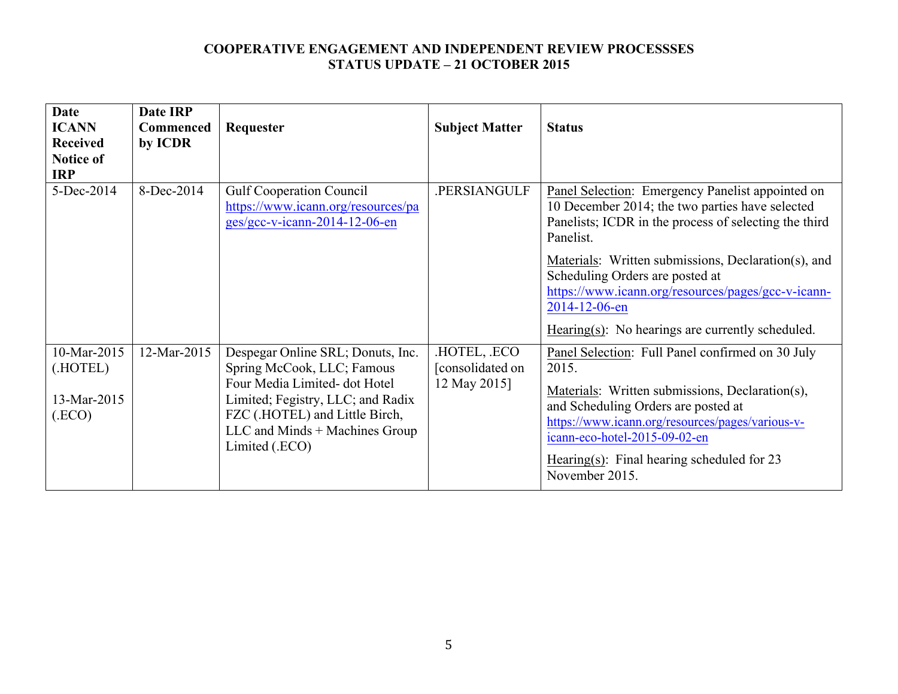| <b>Date</b><br><b>ICANN</b><br><b>Received</b><br><b>Notice of</b><br><b>IRP</b> | Date IRP<br><b>Commenced</b><br>by ICDR | Requester                                                                                                                                                                                                                   | <b>Subject Matter</b>                          | <b>Status</b>                                                                                                                                                                                                                                                                                                                                                  |
|----------------------------------------------------------------------------------|-----------------------------------------|-----------------------------------------------------------------------------------------------------------------------------------------------------------------------------------------------------------------------------|------------------------------------------------|----------------------------------------------------------------------------------------------------------------------------------------------------------------------------------------------------------------------------------------------------------------------------------------------------------------------------------------------------------------|
| 5-Dec-2014                                                                       | 8-Dec-2014                              | <b>Gulf Cooperation Council</b><br>https://www.icann.org/resources/pa<br>$ges/gcc-v-icann-2014-12-06-en$                                                                                                                    | PERSIANGULF                                    | Panel Selection: Emergency Panelist appointed on<br>10 December 2014; the two parties have selected<br>Panelists; ICDR in the process of selecting the third<br>Panelist.<br>Materials: Written submissions, Declaration(s), and<br>Scheduling Orders are posted at<br>https://www.icann.org/resources/pages/gcc-v-icann-<br>2014-12-06-en                     |
| 10-Mar-2015<br>(HOTEL)<br>13-Mar-2015<br>(ECO)                                   | 12-Mar-2015                             | Despegar Online SRL; Donuts, Inc.<br>Spring McCook, LLC; Famous<br>Four Media Limited- dot Hotel<br>Limited; Fegistry, LLC; and Radix<br>FZC (.HOTEL) and Little Birch,<br>LLC and Minds + Machines Group<br>Limited (.ECO) | HOTEL, ECO<br>[consolidated on<br>12 May 2015] | Hearing(s): No hearings are currently scheduled.<br>Panel Selection: Full Panel confirmed on 30 July<br>2015.<br>Materials: Written submissions, Declaration(s),<br>and Scheduling Orders are posted at<br>https://www.icann.org/resources/pages/various-v-<br>icann-eco-hotel-2015-09-02-en<br>Hearing(s): Final hearing scheduled for $23$<br>November 2015. |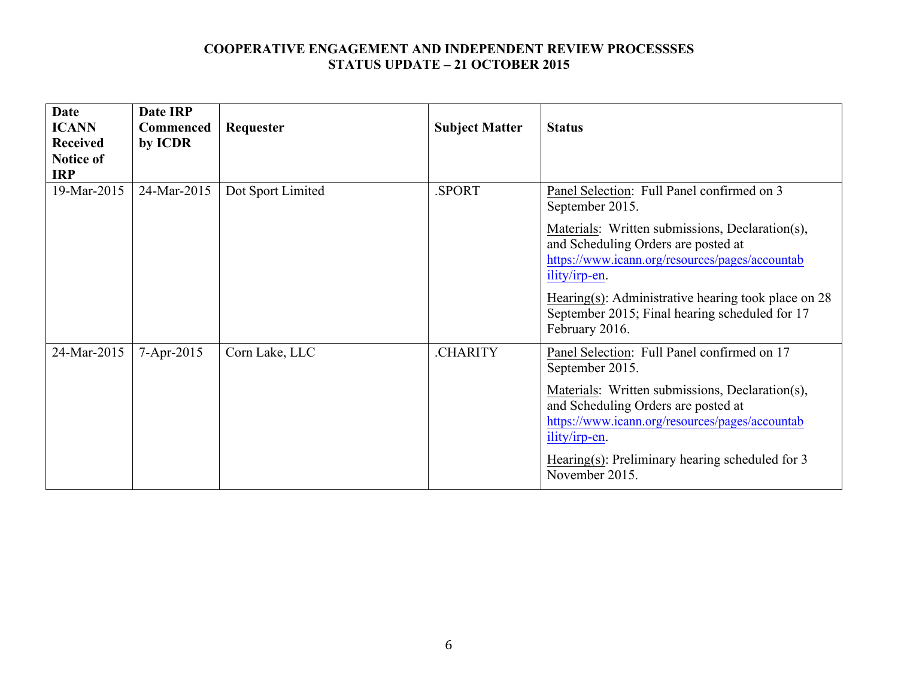| <b>Date</b><br><b>ICANN</b><br><b>Received</b><br><b>Notice of</b><br><b>IRP</b> | Date IRP<br><b>Commenced</b><br>by ICDR | Requester         | <b>Subject Matter</b> | <b>Status</b>                                                                                                                                                                                                                                                                                                                                            |
|----------------------------------------------------------------------------------|-----------------------------------------|-------------------|-----------------------|----------------------------------------------------------------------------------------------------------------------------------------------------------------------------------------------------------------------------------------------------------------------------------------------------------------------------------------------------------|
| 19-Mar-2015                                                                      | 24-Mar-2015                             | Dot Sport Limited | .SPORT                | Panel Selection: Full Panel confirmed on 3<br>September 2015.<br>Materials: Written submissions, Declaration(s),<br>and Scheduling Orders are posted at<br>https://www.icann.org/resources/pages/accountab<br>ility/irp-en.<br>Hearing(s): Administrative hearing took place on $28$<br>September 2015; Final hearing scheduled for 17<br>February 2016. |
| 24-Mar-2015                                                                      | 7-Apr-2015                              | Corn Lake, LLC    | <b>CHARITY</b>        | Panel Selection: Full Panel confirmed on 17<br>September 2015.<br>Materials: Written submissions, Declaration(s),<br>and Scheduling Orders are posted at<br>https://www.icann.org/resources/pages/accountab<br>ility/irp-en.<br>Hearing(s): Preliminary hearing scheduled for 3<br>November 2015.                                                        |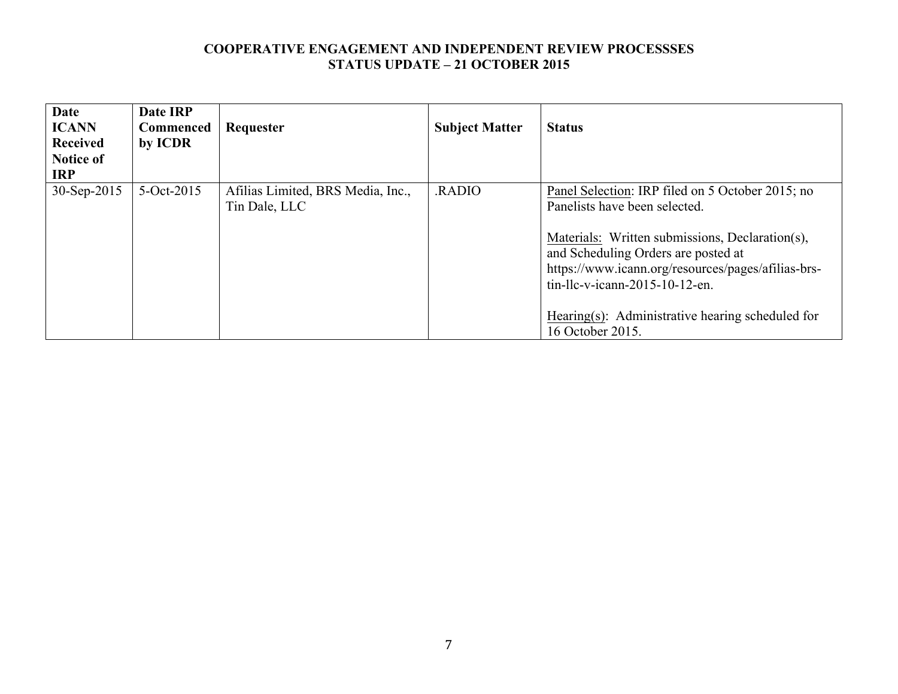| <b>Date</b><br><b>ICANN</b><br><b>Received</b><br><b>Notice of</b><br><b>IRP</b> | Date IRP<br><b>Commenced</b><br>by ICDR | Requester                                          | <b>Subject Matter</b> | <b>Status</b>                                                                                                                                                                                                                                                                                                                                  |
|----------------------------------------------------------------------------------|-----------------------------------------|----------------------------------------------------|-----------------------|------------------------------------------------------------------------------------------------------------------------------------------------------------------------------------------------------------------------------------------------------------------------------------------------------------------------------------------------|
| 30-Sep-2015                                                                      | 5-Oct-2015                              | Afilias Limited, BRS Media, Inc.,<br>Tin Dale, LLC | RADIO                 | Panel Selection: IRP filed on 5 October 2015; no<br>Panelists have been selected.<br>Materials: Written submissions, Declaration(s),<br>and Scheduling Orders are posted at<br>https://www.icann.org/resources/pages/afilias-brs-<br>$tin$ -llc-v-icann-2015-10-12-en.<br>Hearing(s): Administrative hearing scheduled for<br>16 October 2015. |